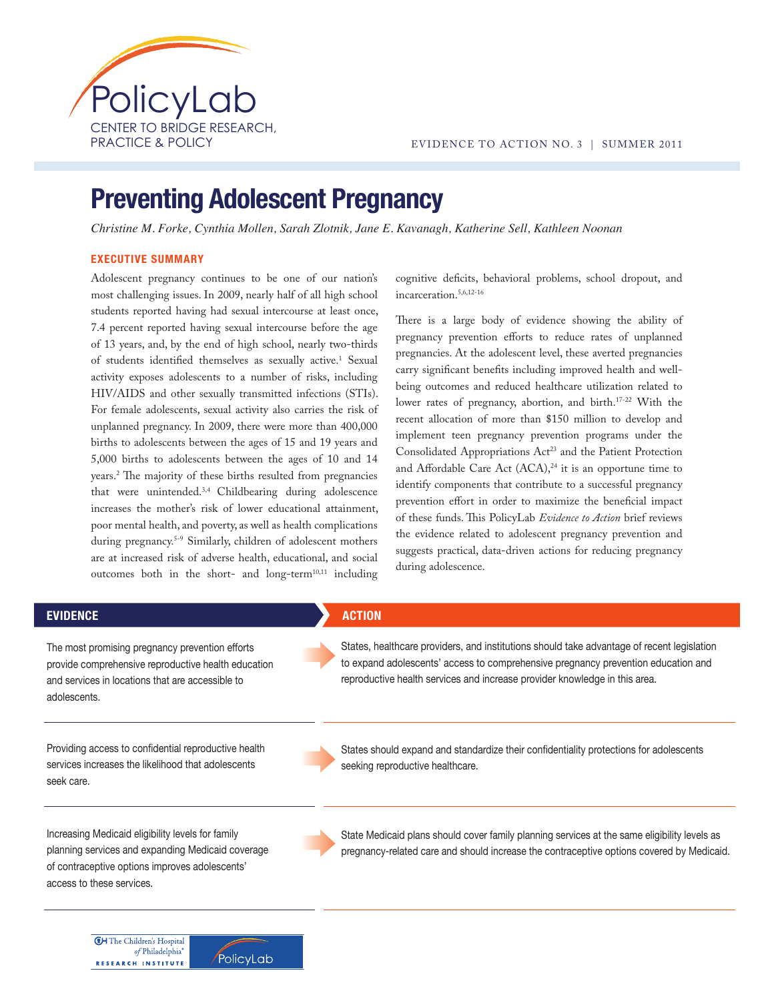

# **Preventing Adolescent Pregnancy**

Christine M. Forke, Cynthia Mollen, Sarah Zlotnik, Jane E. Kavanagh, Katherine Sell, Kathleen Noonan

## **EXECUTIVE SUMMARY**

**CH** The Children's Hospital of Philadelphia®

**RESEARCH INSTITUTE** 

PolicyLab

Adolescent pregnancy continues to be one of our nation's most challenging issues. In 2009, nearly half of all high school students reported having had sexual intercourse at least once, 7.4 percent reported having sexual intercourse before the age of 13 years, and, by the end of high school, nearly two-thirds of students identified themselves as sexually active.<sup>1</sup> Sexual activity exposes adolescents to a number of risks, including HIV/AIDS and other sexually transmitted infections (STIs). For female adolescents, sexual activity also carries the risk of unplanned pregnancy. In 2009, there were more than 400,000 births to adolescents between the ages of 15 and 19 years and 5,000 births to adolescents between the ages of 10 and 14 years.<sup>2</sup> The majority of these births resulted from pregnancies that were unintended.3,4 Childbearing during adolescence increases the mother's risk of lower educational attainment, poor mental health, and poverty, as well as health complications during pregnancy.5-9 Similarly, children of adolescent mothers are at increased risk of adverse health, educational, and social outcomes both in the short- and long-term<sup>10,11</sup> including

cognitive deficits, behavioral problems, school dropout, and incarceration.5,6,12-16

There is a large body of evidence showing the ability of pregnancy prevention efforts to reduce rates of unplanned pregnancies. At the adolescent level, these averted pregnancies carry significant benefits including improved health and wellbeing outcomes and reduced healthcare utilization related to lower rates of pregnancy, abortion, and birth.17-22 With the recent allocation of more than \$150 million to develop and implement teen pregnancy prevention programs under the Consolidated Appropriations Act<sup>23</sup> and the Patient Protection and Affordable Care Act  $(ACA),<sup>24</sup>$  it is an opportune time to identify components that contribute to a successful pregnancy prevention effort in order to maximize the beneficial impact of these funds. This PolicyLab *Evidence to Action* brief reviews the evidence related to adolescent pregnancy prevention and suggests practical, data-driven actions for reducing pregnancy during adolescence.

| <b>EVIDENCE</b>                                                                                                                                                                       | <b>ACTION</b>                                                                                                                                                                                                                                                 |
|---------------------------------------------------------------------------------------------------------------------------------------------------------------------------------------|---------------------------------------------------------------------------------------------------------------------------------------------------------------------------------------------------------------------------------------------------------------|
| The most promising pregnancy prevention efforts<br>provide comprehensive reproductive health education<br>and services in locations that are accessible to<br>adolescents.            | States, healthcare providers, and institutions should take advantage of recent legislation<br>to expand adolescents' access to comprehensive pregnancy prevention education and<br>reproductive health services and increase provider knowledge in this area. |
| Providing access to confidential reproductive health<br>services increases the likelihood that adolescents<br>seek care.                                                              | States should expand and standardize their confidentiality protections for adolescents<br>seeking reproductive healthcare.                                                                                                                                    |
| Increasing Medicaid eligibility levels for family<br>planning services and expanding Medicaid coverage<br>of contraceptive options improves adolescents'<br>access to these services. | State Medicaid plans should cover family planning services at the same eligibility levels as<br>pregnancy-related care and should increase the contraceptive options covered by Medicaid.                                                                     |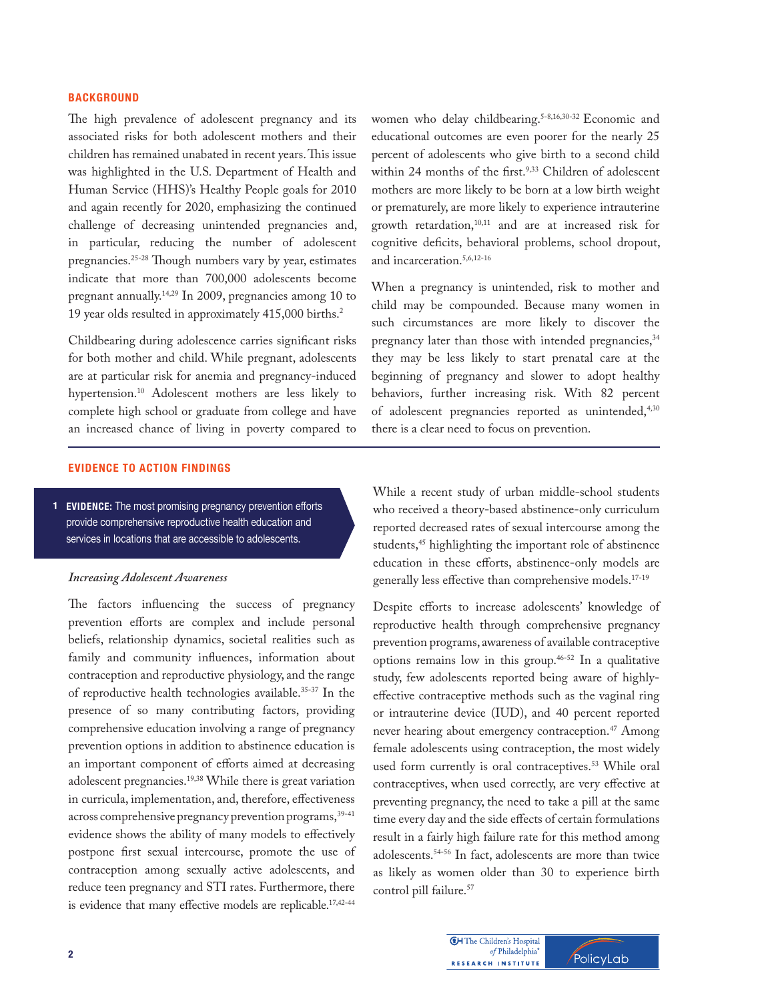## $\mathsf{BACKGRODUCTION}$

The high prevalence of adolescent pregnancy and its associated risks for both adolescent mothers and their children has remained unabated in recent years. This issue was highlighted in the U.S. Department of Health and Human Service (HHS)'s Healthy People goals for 2010 and again recently for 2020, emphasizing the continued challenge of decreasing unintended pregnancies and, in particular, reducing the number of adolescent pregnancies.<sup>25-28</sup> Though numbers vary by year, estimates indicate that more than 700,000 adolescents become pregnant annually.14,29 In 2009, pregnancies among 10 to 19 year olds resulted in approximately 415,000 births.2

Childbearing during adolescence carries significant risks for both mother and child. While pregnant, adolescents are at particular risk for anemia and pregnancy-induced hypertension.<sup>10</sup> Adolescent mothers are less likely to complete high school or graduate from college and have an increased chance of living in poverty compared to

women who delay childbearing.<sup>5-8,16,30-32</sup> Economic and educational outcomes are even poorer for the nearly 25 percent of adolescents who give birth to a second child within 24 months of the first.<sup>9,33</sup> Children of adolescent mothers are more likely to be born at a low birth weight or prematurely, are more likely to experience intrauterine growth retardation,10,11 and are at increased risk for cognitive deficits, behavioral problems, school dropout, and incarceration.5,6,12-16

When a pregnancy is unintended, risk to mother and child may be compounded. Because many women in such circumstances are more likely to discover the pregnancy later than those with intended pregnancies,<sup>34</sup> they may be less likely to start prenatal care at the beginning of pregnancy and slower to adopt healthy behaviors, further increasing risk. With 82 percent of adolescent pregnancies reported as unintended,<sup>4,30</sup> there is a clear need to focus on prevention.

#### **EVIDENCE TO ACTION FINDINGS**

1 **EVIDENCE:** The most promising pregnancy prevention efforts provide comprehensive reproductive health education and services in locations that are accessible to adolescents.

#### *Increasing Adolescent Awareness*

The factors influencing the success of pregnancy prevention efforts are complex and include personal beliefs, relationship dynamics, societal realities such as family and community influences, information about contraception and reproductive physiology, and the range of reproductive health technologies available.<sup>35-37</sup> In the presence of so many contributing factors, providing comprehensive education involving a range of pregnancy prevention options in addition to abstinence education is an important component of efforts aimed at decreasing adolescent pregnancies.19,38 While there is great variation in curricula, implementation, and, therefore, effectiveness across comprehensive pregnancy prevention programs, 39-41 evidence shows the ability of many models to effectively postpone first sexual intercourse, promote the use of contraception among sexually active adolescents, and reduce teen pregnancy and STI rates. Furthermore, there is evidence that many effective models are replicable.<sup>17,42-44</sup>

While a recent study of urban middle-school students who received a theory-based abstinence-only curriculum reported decreased rates of sexual intercourse among the students,<sup>45</sup> highlighting the important role of abstinence education in these efforts, abstinence-only models are generally less effective than comprehensive models.<sup>17-19</sup>

Despite efforts to increase adolescents' knowledge of reproductive health through comprehensive pregnancy prevention programs, awareness of available contraceptive options remains low in this group.46-52 In a qualitative study, few adolescents reported being aware of highlyeffective contraceptive methods such as the vaginal ring or intrauterine device (IUD), and 40 percent reported never hearing about emergency contraception.<sup>47</sup> Among female adolescents using contraception, the most widely used form currently is oral contraceptives.<sup>53</sup> While oral contraceptives, when used correctly, are very effective at preventing pregnancy, the need to take a pill at the same time every day and the side effects of certain formulations result in a fairly high failure rate for this method among adolescents.54-56 In fact, adolescents are more than twice as likely as women older than 30 to experience birth control pill failure.<sup>57</sup>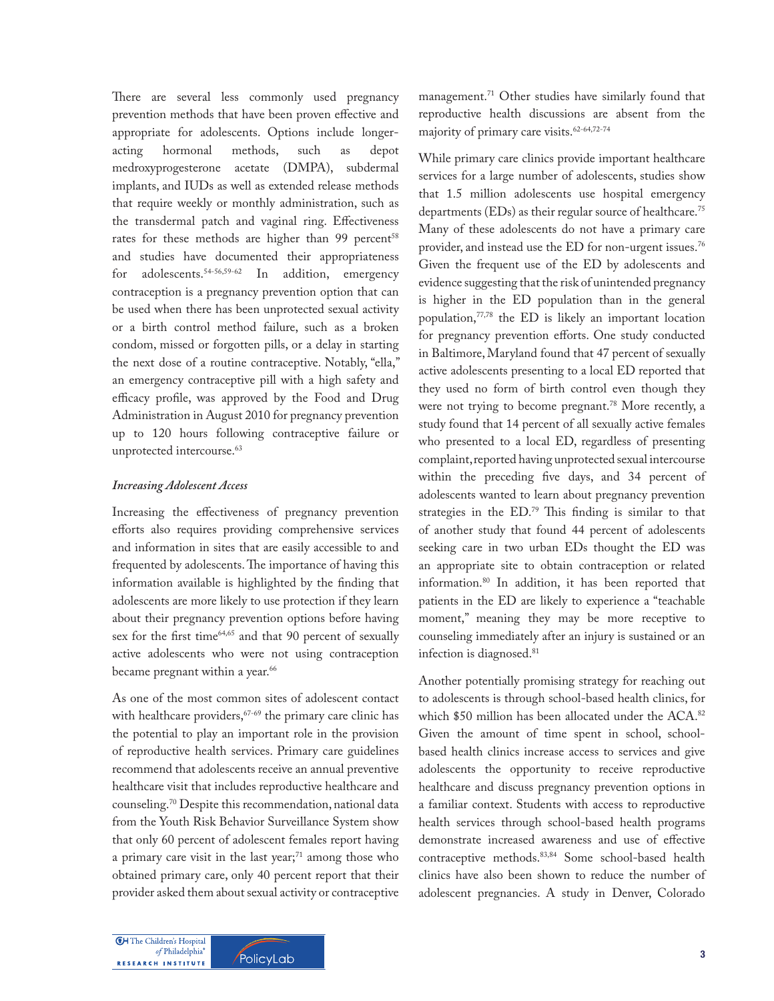There are several less commonly used pregnancy prevention methods that have been proven effective and appropriate for adolescents. Options include longeracting hormonal methods, such as depot medroxyprogesterone acetate (DMPA), subdermal implants, and IUDs as well as extended release methods that require weekly or monthly administration, such as the transdermal patch and vaginal ring. Effectiveness rates for these methods are higher than 99 percent<sup>58</sup> and studies have documented their appropriateness for adolescents.<sup>54-56,59-62</sup> In addition, emergency contraception is a pregnancy prevention option that can be used when there has been unprotected sexual activity or a birth control method failure, such as a broken condom, missed or forgotten pills, or a delay in starting the next dose of a routine contraceptive. Notably, "ella," an emergency contraceptive pill with a high safety and efficacy profile, was approved by the Food and Drug Administration in August 2010 for pregnancy prevention up to 120 hours following contraceptive failure or unprotected intercourse.<sup>63</sup>

#### *Increasing Adolescent Access*

Increasing the effectiveness of pregnancy prevention efforts also requires providing comprehensive services and information in sites that are easily accessible to and frequented by adolescents. The importance of having this information available is highlighted by the finding that adolescents are more likely to use protection if they learn about their pregnancy prevention options before having sex for the first time $64,65$  and that 90 percent of sexually active adolescents who were not using contraception became pregnant within a year.<sup>66</sup>

As one of the most common sites of adolescent contact with healthcare providers,<sup>67-69</sup> the primary care clinic has the potential to play an important role in the provision of reproductive health services. Primary care guidelines recommend that adolescents receive an annual preventive healthcare visit that includes reproductive healthcare and counseling.70 Despite this recommendation, national data from the Youth Risk Behavior Surveillance System show that only 60 percent of adolescent females report having a primary care visit in the last year; $71$  among those who obtained primary care, only 40 percent report that their provider asked them about sexual activity or contraceptive management.71 Other studies have similarly found that reproductive health discussions are absent from the majority of primary care visits.62-64,72-74

While primary care clinics provide important healthcare services for a large number of adolescents, studies show that 1.5 million adolescents use hospital emergency departments (EDs) as their regular source of healthcare.<sup>75</sup> Many of these adolescents do not have a primary care provider, and instead use the ED for non-urgent issues.76 Given the frequent use of the ED by adolescents and evidence suggesting that the risk of unintended pregnancy is higher in the ED population than in the general population,77,78 the ED is likely an important location for pregnancy prevention efforts. One study conducted in Baltimore, Maryland found that 47 percent of sexually active adolescents presenting to a local ED reported that they used no form of birth control even though they were not trying to become pregnant.<sup>78</sup> More recently, a study found that 14 percent of all sexually active females who presented to a local ED, regardless of presenting complaint, reported having unprotected sexual intercourse within the preceding five days, and 34 percent of adolescents wanted to learn about pregnancy prevention strategies in the  $ED.^{79}$  This finding is similar to that of another study that found 44 percent of adolescents seeking care in two urban EDs thought the ED was an appropriate site to obtain contraception or related information.80 In addition, it has been reported that patients in the ED are likely to experience a "teachable moment," meaning they may be more receptive to counseling immediately after an injury is sustained or an infection is diagnosed.<sup>81</sup>

Another potentially promising strategy for reaching out to adolescents is through school-based health clinics, for which \$50 million has been allocated under the ACA.<sup>82</sup> Given the amount of time spent in school, schoolbased health clinics increase access to services and give adolescents the opportunity to receive reproductive healthcare and discuss pregnancy prevention options in a familiar context. Students with access to reproductive health services through school-based health programs demonstrate increased awareness and use of effective contraceptive methods.83,84 Some school-based health clinics have also been shown to reduce the number of adolescent pregnancies. A study in Denver, Colorado

**CH** The Children's Hospital of Philadelphia® RESEARCH INSTITUTE

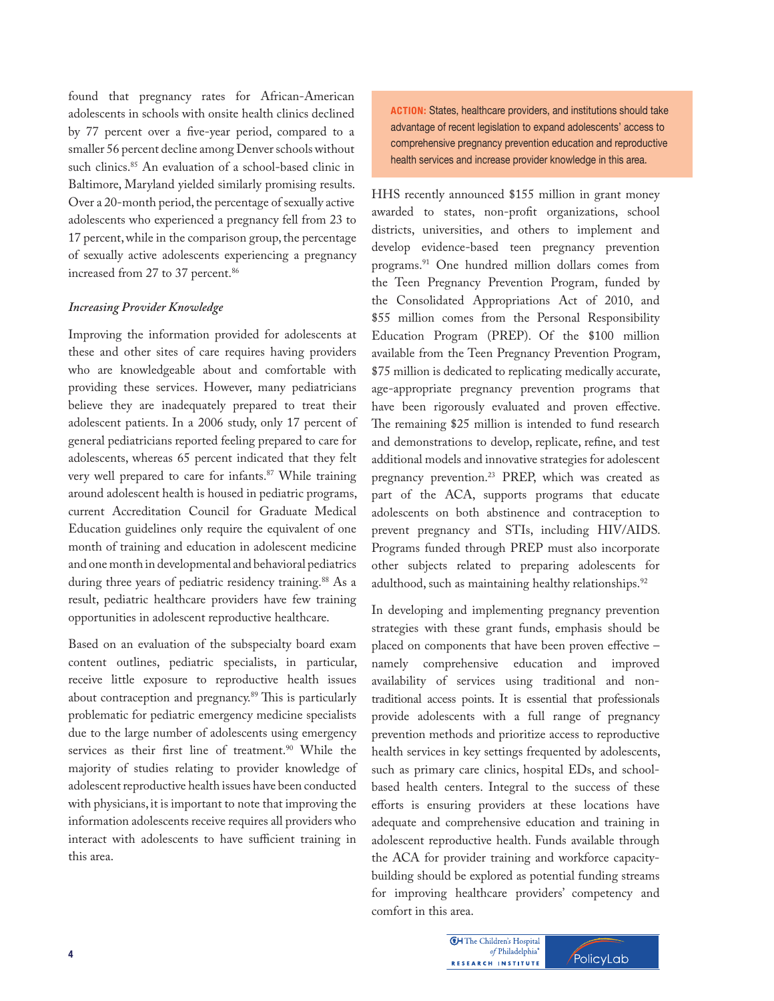found that pregnancy rates for African-American adolescents in schools with onsite health clinics declined by 77 percent over a five-year period, compared to a smaller 56 percent decline among Denver schools without such clinics.<sup>85</sup> An evaluation of a school-based clinic in Baltimore, Maryland yielded similarly promising results. Over a 20-month period, the percentage of sexually active adolescents who experienced a pregnancy fell from 23 to 17 percent, while in the comparison group, the percentage of sexually active adolescents experiencing a pregnancy increased from 27 to 37 percent.<sup>86</sup>

## *Increasing Provider Knowledge*

Improving the information provided for adolescents at these and other sites of care requires having providers who are knowledgeable about and comfortable with providing these services. However, many pediatricians believe they are inadequately prepared to treat their adolescent patients. In a 2006 study, only 17 percent of general pediatricians reported feeling prepared to care for adolescents, whereas 65 percent indicated that they felt very well prepared to care for infants.<sup>87</sup> While training around adolescent health is housed in pediatric programs, current Accreditation Council for Graduate Medical Education guidelines only require the equivalent of one month of training and education in adolescent medicine and one month in developmental and behavioral pediatrics during three years of pediatric residency training.<sup>88</sup> As a result, pediatric healthcare providers have few training opportunities in adolescent reproductive healthcare.

Based on an evaluation of the subspecialty board exam content outlines, pediatric specialists, in particular, receive little exposure to reproductive health issues about contraception and pregnancy.<sup>89</sup> This is particularly problematic for pediatric emergency medicine specialists due to the large number of adolescents using emergency services as their first line of treatment.<sup>90</sup> While the majority of studies relating to provider knowledge of adolescent reproductive health issues have been conducted with physicians, it is important to note that improving the information adolescents receive requires all providers who interact with adolescents to have sufficient training in this area.

**ACTION:** States, healthcare providers, and institutions should take advantage of recent legislation to expand adolescents' access to comprehensive pregnancy prevention education and reproductive health services and increase provider knowledge in this area.

HHS recently announced \$155 million in grant money awarded to states, non-profit organizations, school districts, universities, and others to implement and develop evidence-based teen pregnancy prevention programs.<sup>91</sup> One hundred million dollars comes from the Teen Pregnancy Prevention Program, funded by the Consolidated Appropriations Act of 2010, and \$55 million comes from the Personal Responsibility Education Program (PREP). Of the \$100 million available from the Teen Pregnancy Prevention Program, \$75 million is dedicated to replicating medically accurate, age-appropriate pregnancy prevention programs that have been rigorously evaluated and proven effective. The remaining \$25 million is intended to fund research and demonstrations to develop, replicate, refine, and test additional models and innovative strategies for adolescent pregnancy prevention.<sup>23</sup> PREP, which was created as part of the ACA, supports programs that educate adolescents on both abstinence and contraception to prevent pregnancy and STIs, including HIV/AIDS. Programs funded through PREP must also incorporate other subjects related to preparing adolescents for adulthood, such as maintaining healthy relationships.<sup>92</sup>

In developing and implementing pregnancy prevention strategies with these grant funds, emphasis should be placed on components that have been proven effective namely comprehensive education and improved availability of services using traditional and nontraditional access points. It is essential that professionals provide adolescents with a full range of pregnancy prevention methods and prioritize access to reproductive health services in key settings frequented by adolescents, such as primary care clinics, hospital EDs, and schoolbased health centers. Integral to the success of these efforts is ensuring providers at these locations have adequate and comprehensive education and training in adolescent reproductive health. Funds available through the ACA for provider training and workforce capacitybuilding should be explored as potential funding streams for improving healthcare providers' competency and comfort in this area.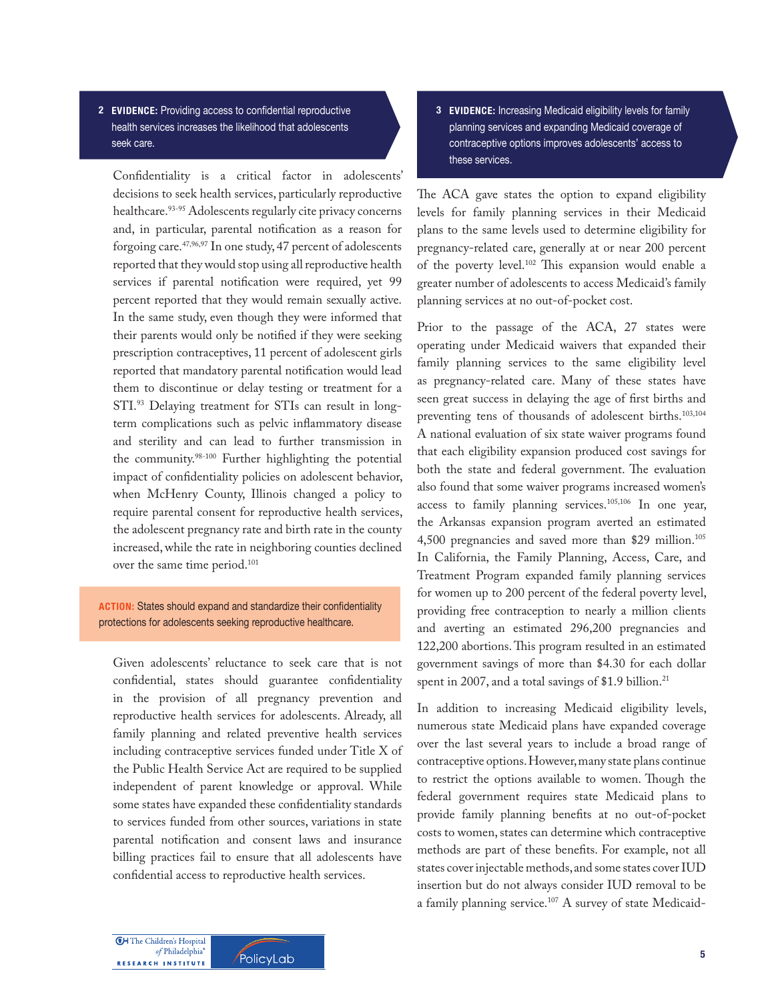2 **EVIDENCE:** Providing access to confidential reproductive health services increases the likelihood that adolescents seek care.

Confidentiality is a critical factor in adolescents' decisions to seek health services, particularly reproductive healthcare.<sup>93-95</sup> Adolescents regularly cite privacy concerns and, in particular, parental notification as a reason for forgoing care.47,96,97 In one study, 47 percent of adolescents reported that they would stop using all reproductive health services if parental notification were required, yet 99 percent reported that they would remain sexually active. In the same study, even though they were informed that their parents would only be notified if they were seeking prescription contraceptives, 11 percent of adolescent girls reported that mandatory parental notification would lead them to discontinue or delay testing or treatment for a STI.93 Delaying treatment for STIs can result in longterm complications such as pelvic inflammatory disease and sterility and can lead to further transmission in the community.<sup>98-100</sup> Further highlighting the potential impact of confidentiality policies on adolescent behavior, when McHenry County, Illinois changed a policy to require parental consent for reproductive health services, the adolescent pregnancy rate and birth rate in the county increased, while the rate in neighboring counties declined over the same time period.<sup>101</sup>

**ACTION:** States should expand and standardize their confidentiality protections for adolescents seeking reproductive healthcare.

Given adolescents' reluctance to seek care that is not confidential, states should guarantee confidentiality in the provision of all pregnancy prevention and reproductive health services for adolescents. Already, all family planning and related preventive health services including contraceptive services funded under Title X of the Public Health Service Act are required to be supplied independent of parent knowledge or approval. While some states have expanded these confidentiality standards to services funded from other sources, variations in state parental notification and consent laws and insurance billing practices fail to ensure that all adolescents have confidential access to reproductive health services.

3 **EVIDENCE:** Increasing Medicaid eligibility levels for family planning services and expanding Medicaid coverage of contraceptive options improves adolescents' access to these services.

The ACA gave states the option to expand eligibility levels for family planning services in their Medicaid plans to the same levels used to determine eligibility for pregnancy-related care, generally at or near 200 percent of the poverty level.<sup>102</sup> This expansion would enable a greater number of adolescents to access Medicaid's family planning services at no out-of-pocket cost.

Prior to the passage of the ACA, 27 states were operating under Medicaid waivers that expanded their family planning services to the same eligibility level as pregnancy-related care. Many of these states have seen great success in delaying the age of first births and preventing tens of thousands of adolescent births.103,104 A national evaluation of six state waiver programs found that each eligibility expansion produced cost savings for both the state and federal government. The evaluation also found that some waiver programs increased women's access to family planning services.<sup>105,106</sup> In one year, the Arkansas expansion program averted an estimated 4,500 pregnancies and saved more than \$29 million.<sup>105</sup> In California, the Family Planning, Access, Care, and Treatment Program expanded family planning services for women up to 200 percent of the federal poverty level, providing free contraception to nearly a million clients and averting an estimated 296,200 pregnancies and 122,200 abortions. This program resulted in an estimated government savings of more than \$4.30 for each dollar spent in 2007, and a total savings of \$1.9 billion.<sup>21</sup>

In addition to increasing Medicaid eligibility levels, numerous state Medicaid plans have expanded coverage over the last several years to include a broad range of contraceptive options. However, many state plans continue to restrict the options available to women. Though the federal government requires state Medicaid plans to provide family planning benefits at no out-of-pocket costs to women, states can determine which contraceptive methods are part of these benefits. For example, not all states cover injectable methods, and some states cover IUD insertion but do not always consider IUD removal to be a family planning service.<sup>107</sup> A survey of state Medicaid-

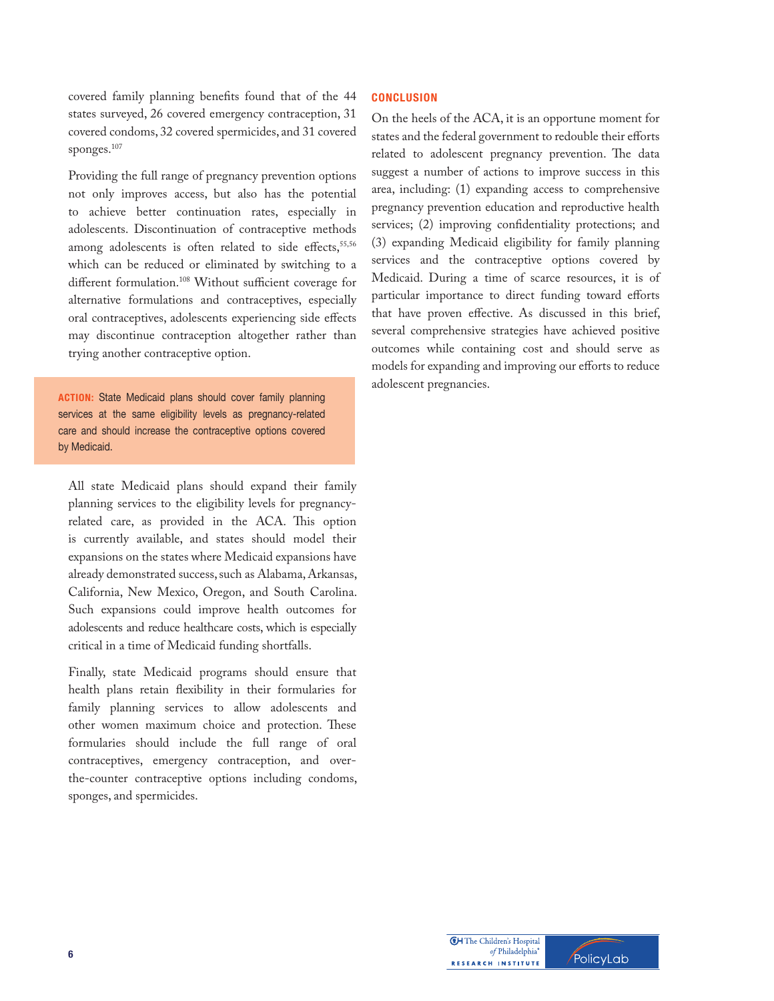covered family planning benefits found that of the 44 states surveyed, 26 covered emergency contraception, 31 covered condoms, 32 covered spermicides, and 31 covered sponges.107

Providing the full range of pregnancy prevention options not only improves access, but also has the potential to achieve better continuation rates, especially in adolescents. Discontinuation of contraceptive methods among adolescents is often related to side effects,<sup>55,56</sup> which can be reduced or eliminated by switching to a different formulation.<sup>108</sup> Without sufficient coverage for alternative formulations and contraceptives, especially oral contraceptives, adolescents experiencing side effects may discontinue contraception altogether rather than trying another contraceptive option.

**ACTION:** State Medicaid plans should cover family planning services at the same eligibility levels as pregnancy-related care and should increase the contraceptive options covered by Medicaid.

All state Medicaid plans should expand their family planning services to the eligibility levels for pregnancyrelated care, as provided in the ACA. This option is currently available, and states should model their expansions on the states where Medicaid expansions have already demonstrated success, such as Alabama, Arkansas, California, New Mexico, Oregon, and South Carolina. Such expansions could improve health outcomes for adolescents and reduce healthcare costs, which is especially critical in a time of Medicaid funding shortfalls.

Finally, state Medicaid programs should ensure that health plans retain flexibility in their formularies for family planning services to allow adolescents and other women maximum choice and protection. These formularies should include the full range of oral contraceptives, emergency contraception, and overthe-counter contraceptive options including condoms, sponges, and spermicides.

## $CONCLUSION$

On the heels of the ACA, it is an opportune moment for states and the federal government to redouble their efforts related to adolescent pregnancy prevention. The data suggest a number of actions to improve success in this area, including: (1) expanding access to comprehensive pregnancy prevention education and reproductive health services; (2) improving confidentiality protections; and (3) expanding Medicaid eligibility for family planning services and the contraceptive options covered by Medicaid. During a time of scarce resources, it is of particular importance to direct funding toward efforts that have proven effective. As discussed in this brief, several comprehensive strategies have achieved positive outcomes while containing cost and should serve as models for expanding and improving our efforts to reduce adolescent pregnancies.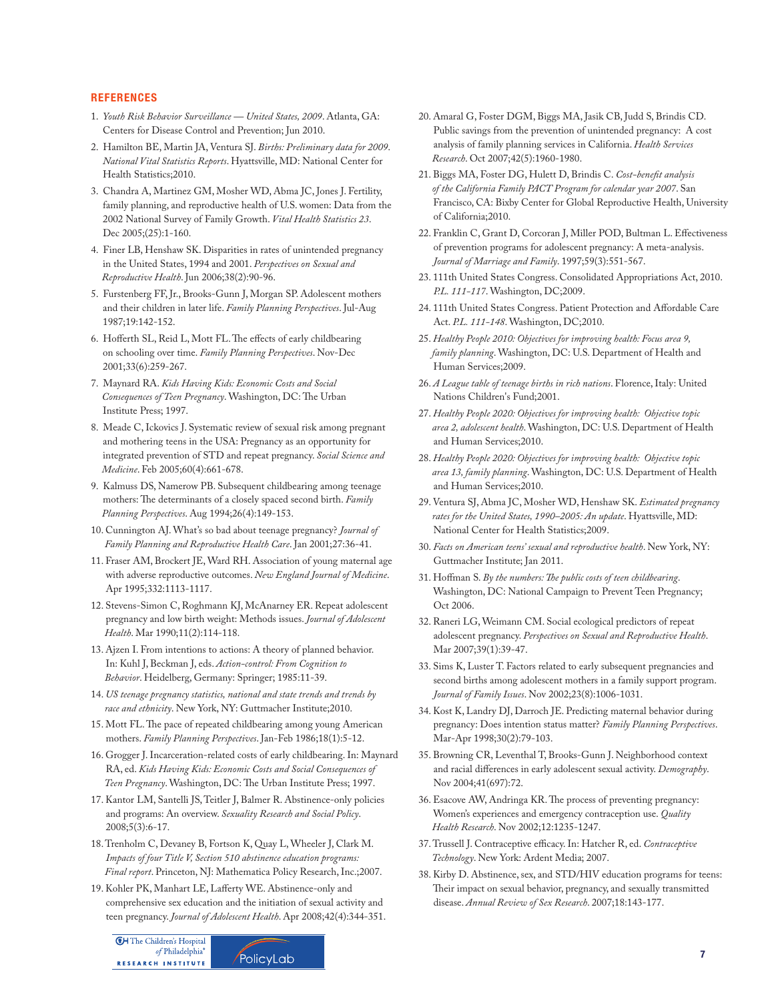#### **REFERENCES**

- 1. *Youth Risk Behavior Surveillance United States, 2009*. Atlanta, GA: Centers for Disease Control and Prevention; Jun 2010.
- 2. Hamilton BE, Martin JA, Ventura SJ. *Births: Preliminary data for 2009*. *National Vital Statistics Reports*. Hyattsville, MD: National Center for Health Statistics;2010.
- 3. Chandra A, Martinez GM, Mosher WD, Abma JC, Jones J. Fertility, family planning, and reproductive health of U.S. women: Data from the 2002 National Survey of Family Growth. *Vital Health Statistics 23*. Dec 2005;(25):1-160.
- 4. Finer LB, Henshaw SK. Disparities in rates of unintended pregnancy in the United States, 1994 and 2001. *Perspectives on Sexual and Reproductive Health*. Jun 2006;38(2):90-96.
- 5. Furstenberg FF, Jr., Brooks-Gunn J, Morgan SP. Adolescent mothers and their children in later life. *Family Planning Perspectives*. Jul-Aug 1987;19:142-152.
- 6. Hofferth SL, Reid L, Mott FL. The effects of early childbearing on schooling over time. *Family Planning Perspectives*. Nov-Dec 2001;33(6):259-267.
- 7. Maynard RA. *Kids Having Kids: Economic Costs and Social Consequences of Teen Pregnancy*. Washington, DC: The Urban Institute Press; 1997.
- 8. Meade C, Ickovics J. Systematic review of sexual risk among pregnant and mothering teens in the USA: Pregnancy as an opportunity for integrated prevention of STD and repeat pregnancy. *Social Science and Medicine*. Feb 2005;60(4):661-678.
- 9. Kalmuss DS, Namerow PB. Subsequent childbearing among teenage mothers: The determinants of a closely spaced second birth. *Family Planning Perspectives*. Aug 1994;26(4):149-153.
- 10. Cunnington AJ. What's so bad about teenage pregnancy? *Journal of Family Planning and Reproductive Health Care*. Jan 2001;27:36-41.
- 11. Fraser AM, Brockert JE, Ward RH. Association of young maternal age with adverse reproductive outcomes. *New England Journal of Medicine*. Apr 1995;332:1113-1117.
- 12. Stevens-Simon C, Roghmann KJ, McAnarney ER. Repeat adolescent pregnancy and low birth weight: Methods issues. *Journal of Adolescent Health*. Mar 1990;11(2):114-118.
- 13. Ajzen I. From intentions to actions: A theory of planned behavior. In: Kuhl J, Beckman J, eds. *Action-control: From Cognition to Behavior*. Heidelberg, Germany: Springer; 1985:11-39.
- 14. *US teenage pregnancy statistics, national and state trends and trends by race and ethnicity*. New York, NY: Guttmacher Institute;2010.
- 15. Mott FL. The pace of repeated childbearing among young American mothers. *Family Planning Perspectives*. Jan-Feb 1986;18(1):5-12.
- 16. Grogger J. Incarceration-related costs of early childbearing. In: Maynard RA, ed. *Kids Having Kids: Economic Costs and Social Consequences of*  Teen Pregnancy. Washington, DC: The Urban Institute Press; 1997.
- 17. Kantor LM, Santelli JS, Teitler J, Balmer R. Abstinence-only policies and programs: An overview. *Sexuality Research and Social Policy*. 2008;5(3):6-17.
- 18. Trenholm C, Devaney B, Fortson K, Quay L, Wheeler J, Clark M. *Impacts of four Title V, Section 510 abstinence education programs: Final report*. Princeton, NJ: Mathematica Policy Research, Inc.;2007.
- 19. Kohler PK, Manhart LE, Lafferty WE. Abstinence-only and comprehensive sex education and the initiation of sexual activity and teen pregnancy. *Journal of Adolescent Health*. Apr 2008;42(4):344-351.





- 20. Amaral G, Foster DGM, Biggs MA, Jasik CB, Judd S, Brindis CD. Public savings from the prevention of unintended pregnancy: A cost analysis of family planning services in California. *Health Services Research*. Oct 2007;42(5):1960-1980.
- 21. Biggs MA, Foster DG, Hulett D, Brindis C. Cost-benefit analysis  *of the California Family PACT Program for calendar year 2007*. San Francisco, CA: Bixby Center for Global Reproductive Health, University of California;2010.
- 22. Franklin C, Grant D, Corcoran J, Miller POD, Bultman L. Effectiveness of prevention programs for adolescent pregnancy: A meta-analysis. *Journal of Marriage and Family*. 1997;59(3):551-567.
- 23. 111th United States Congress. Consolidated Appropriations Act, 2010. *P.L. 111-117*. Washington, DC;2009.
- 24. 111th United States Congress. Patient Protection and Affordable Care Act. *P.L. 111-148*. Washington, DC;2010.
- 25. *Healthy People 2010: Objectives for improving health: Focus area 9, family planning*. Washington, DC: U.S. Department of Health and Human Services;2009.
- 26. *A League table of teenage births in rich nations*. Florence, Italy: United Nations Children's Fund;2001.
- 27. *Healthy People 2020: Objectives for improving health: Objective topic area 2, adolescent health*. Washington, DC: U.S. Department of Health and Human Services;2010.
- 28. *Healthy People 2020: Objectives for improving health: Objective topic area 13, family planning*. Washington, DC: U.S. Department of Health and Human Services;2010.
- 29. Ventura SJ, Abma JC, Mosher WD, Henshaw SK. *Estimated pregnancy rates for the United States, 1990–2005: An update*. Hyattsville, MD: National Center for Health Statistics;2009.
- 30. *Facts on American teens' sexual and reproductive health*. New York, NY: Guttmacher Institute; Jan 2011.
- 31. Hoffman S. By the numbers: The public costs of teen childbearing. Washington, DC: National Campaign to Prevent Teen Pregnancy; Oct 2006.
- 32. Raneri LG, Weimann CM. Social ecological predictors of repeat adolescent pregnancy. *Perspectives on Sexual and Reproductive Health*. Mar 2007;39(1):39-47.
- 33. Sims K, Luster T. Factors related to early subsequent pregnancies and second births among adolescent mothers in a family support program. *Journal of Family Issues*. Nov 2002;23(8):1006-1031.
- 34. Kost K, Landry DJ, Darroch JE. Predicting maternal behavior during pregnancy: Does intention status matter? *Family Planning Perspectives*. Mar-Apr 1998;30(2):79-103.
- 35. Browning CR, Leventhal T, Brooks-Gunn J. Neighborhood context and racial differences in early adolescent sexual activity. *Demography*. Nov 2004;41(697):72.
- 36. Esacove AW, Andringa KR. The process of preventing pregnancy: Women's experiences and emergency contraception use. *Quality Health Research*. Nov 2002;12:1235-1247.
- 37. Trussell J. Contraceptive efficacy. In: Hatcher R, ed. *Contraceptive Technology*. New York: Ardent Media; 2007.
- 38. Kirby D. Abstinence, sex, and STD/HIV education programs for teens: Their impact on sexual behavior, pregnancy, and sexually transmitted disease. *Annual Review of Sex Research*. 2007;18:143-177.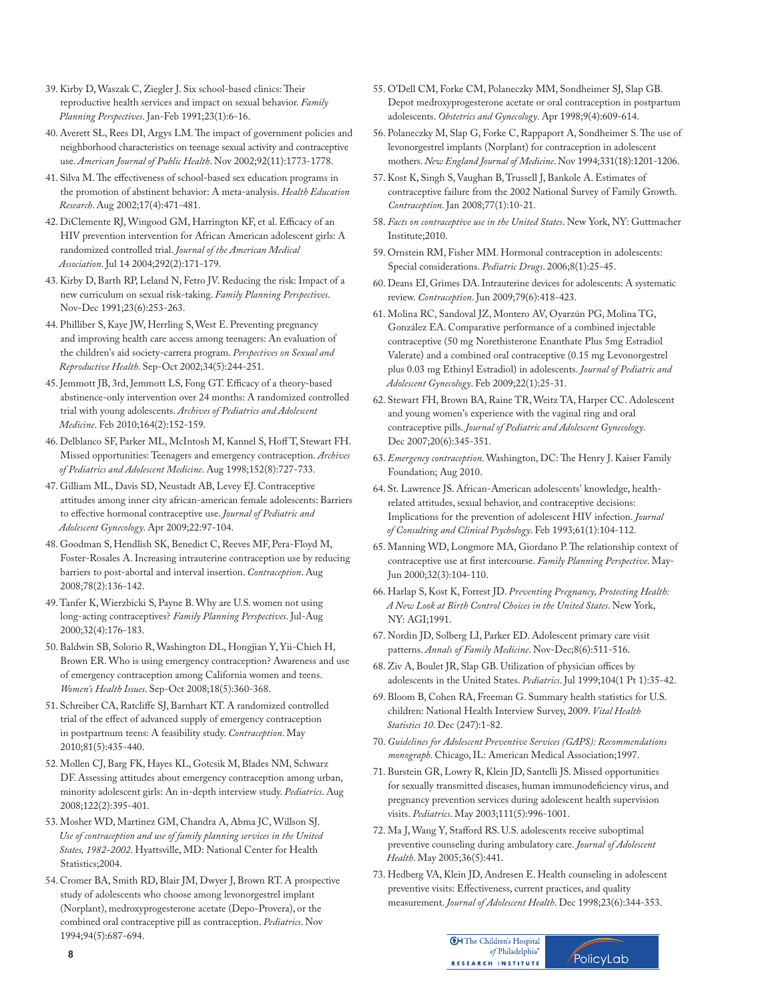- 39. Kirby D, Waszak C, Ziegler J. Six school-based clinics: Their reproductive health services and impact on sexual behavior. *Family Planning Perspectives*. Jan-Feb 1991;23(1):6-16.
- 40. Averett SL, Rees DI, Argys LM. The impact of government policies and neighborhood characteristics on teenage sexual activity and contraceptive use. *American Journal of Public Health*. Nov 2002;92(11):1773-1778.
- 41. Silva M. The effectiveness of school-based sex education programs in the promotion of abstinent behavior: A meta-analysis. *Health Education Research*. Aug 2002;17(4):471-481.
- 42. DiClemente RJ, Wingood GM, Harrington KF, et al. Efficacy of an HIV prevention intervention for African American adolescent girls: A randomized controlled trial. *Journal of the American Medical Association*. Jul 14 2004;292(2):171-179.
- 43. Kirby D, Barth RP, Leland N, Fetro JV. Reducing the risk: Impact of a new curriculum on sexual risk-taking. *Family Planning Perspectives*. Nov-Dec 1991;23(6):253-263.
- 44. Philliber S, Kaye JW, Herrling S, West E. Preventing pregnancy and improving health care access among teenagers: An evaluation of the children's aid society-carrera program. *Perspectives on Sexual and Reproductive Health*. Sep-Oct 2002;34(5):244-251.
- 45. Jemmott JB, 3rd, Jemmott LS, Fong GT. Efficacy of a theory-based abstinence-only intervention over 24 months: A randomized controlled trial with young adolescents. *Archives of Pediatrics and Adolescent Medicine*. Feb 2010;164(2):152-159.
- 46. Delblanco SF, Parker ML, McIntosh M, Kannel S, Hoff T, Stewart FH. Missed opportunities: Teenagers and emergency contraception. *Archives of Pediatrics and Adolescent Medicine*. Aug 1998;152(8):727-733.
- 47. Gilliam ML, Davis SD, Neustadt AB, Levey EJ. Contraceptive attitudes among inner city african-american female adolescents: Barriers to effective hormonal contraceptive use. *Journal of Pediatric and Adolescent Gynecology*. Apr 2009;22:97-104.
- 48. Goodman S, Hendlish SK, Benedict C, Reeves MF, Pera-Floyd M, Foster-Rosales A. Increasing intrauterine contraception use by reducing barriers to post-abortal and interval insertion. *Contraception*. Aug 2008;78(2):136-142.
- 49. Tanfer K, Wierzbicki S, Payne B. Why are U.S. women not using long-acting contraceptives? *Family Planning Perspectives*. Jul-Aug 2000;32(4):176-183.
- 50. Baldwin SB, Solorio R, Washington DL, Hongjian Y, Yii-Chieh H, Brown ER. Who is using emergency contraception? Awareness and use of emergency contraception among California women and teens. *Women's Health Issues*. Sep-Oct 2008;18(5):360-368.
- 51. Schreiber CA, Ratcliffe SJ, Barnhart KT. A randomized controlled trial of the effect of advanced supply of emergency contraception in postpartnum teens: A feasibility study. *Contraception*. May 2010;81(5):435-440.
- 52. Mollen CJ, Barg FK, Hayes KL, Gotcsik M, Blades NM, Schwarz DF. Assessing attitudes about emergency contraception among urban, minority adolescent girls: An in-depth interview study. *Pediatrics*. Aug 2008;122(2):395-401.
- 53. Mosher WD, Martinez GM, Chandra A, Abma JC, Willson SJ.  *Use of contraception and use of family planning services in the United States, 1982-2002*. Hyattsville, MD: National Center for Health Statistics;2004.
- 54. Cromer BA, Smith RD, Blair JM, Dwyer J, Brown RT. A prospective study of adolescents who choose among levonorgestrel implant (Norplant), medroxyprogesterone acetate (Depo-Provera), or the combined oral contraceptive pill as contraception. *Pediatrics*. Nov 1994;94(5):687-694.
- 55. O'Dell CM, Forke CM, Polaneczky MM, Sondheimer SJ, Slap GB. Depot medroxyprogesterone acetate or oral contraception in postpartum adolescents. *Obstetrics and Gynecology*. Apr 1998;9(4):609-614.
- 56. Polaneczky M, Slap G, Forke C, Rappaport A, Sondheimer S. The use of levonorgestrel implants (Norplant) for contraception in adolescent mothers. *New England Journal of Medicine*. Nov 1994;331(18):1201-1206.
- 57. Kost K, Singh S, Vaughan B, Trussell J, Bankole A. Estimates of contraceptive failure from the 2002 National Survey of Family Growth. *Contraception*. Jan 2008;77(1):10-21.
- 58. *Facts on contraceptive use in the United States*. New York, NY: Guttmacher Institute;2010.
- 59. Ornstein RM, Fisher MM. Hormonal contraception in adolescents: Special considerations. *Pediatric Drugs*. 2006;8(1):25-45.
- 60. Deans EI, Grimes DA. Intrauterine devices for adolescents: A systematic review. *Contraception*. Jun 2009;79(6):418-423.
- 61. Molina RC, Sandoval JZ, Montero AV, Oyarzún PG, Molina TG, González EA. Comparative performance of a combined injectable contraceptive (50 mg Norethisterone Enanthate Plus 5mg Estradiol Valerate) and a combined oral contraceptive (0.15 mg Levonorgestrel plus 0.03 mg Ethinyl Estradiol) in adolescents. *Journal of Pediatric and Adolescent Gynecology*. Feb 2009;22(1):25-31.
- 62. Stewart FH, Brown BA, Raine TR, Weitz TA, Harper CC. Adolescent and young women's experience with the vaginal ring and oral contraceptive pills. *Journal of Pediatric and Adolescent Gynecology*. Dec 2007;20(6):345-351.
- 63. *Emergency contraception*. Washington, DC: The Henry J. Kaiser Family Foundation; Aug 2010.
- 64. St. Lawrence JS. African-American adolescents' knowledge, health related attitudes, sexual behavior, and contraceptive decisions: Implications for the prevention of adolescent HIV infection. *Journal of Consulting and Clinical Psychology*. Feb 1993;61(1):104-112.
- 65. Manning WD, Longmore MA, Giordano P. The relationship context of contraceptive use at first intercourse. Family Planning Perspective. May-Jun 2000;32(3):104-110.
- 66. Harlap S, Kost K, Forrest JD. *Preventing Pregnancy, Protecting Health: A New Look at Birth Control Choices in the United States*. New York, NY: AGI;1991.
- 67. Nordin JD, Solberg LI, Parker ED. Adolescent primary care visit patterns. *Annals of Family Medicine*. Nov-Dec;8(6):511-516.
- 68. Ziv A, Boulet JR, Slap GB. Utilization of physician offices by adolescents in the United States. *Pediatrics*. Jul 1999;104(1 Pt 1):35-42.
- 69. Bloom B, Cohen RA, Freeman G. Summary health statistics for U.S. children: National Health Interview Survey, 2009. *Vital Health Statistics 10*. Dec (247):1-82.
- 70. *Guidelines for Adolescent Preventive Services (GAPS): Recommendations monograph*. Chicago, IL: American Medical Association;1997.
- 71. Burstein GR, Lowry R, Klein JD, Santelli JS. Missed opportunities for sexually transmitted diseases, human immunodeficiency virus, and pregnancy prevention services during adolescent health supervision visits. *Pediatrics*. May 2003;111(5):996-1001.
- 72. Ma J, Wang Y, Stafford RS. U.S. adolescents receive suboptimal preventive counseling during ambulatory care. *Journal of Adolescent Health*. May 2005;36(5):441.
- 73. Hedberg VA, Klein JD, Andresen E. Health counseling in adolescent preventive visits: Effectiveness, current practices, and quality measurement. *Journal of Adolescent Health*. Dec 1998;23(6):344-353.

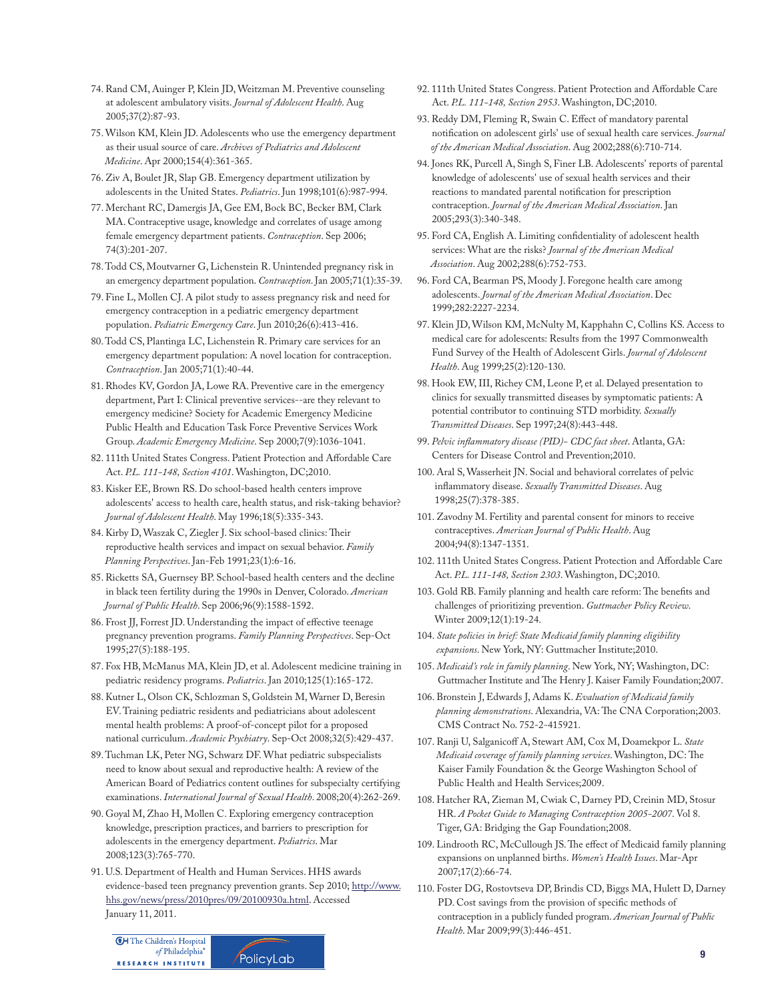- 74. Rand CM, Auinger P, Klein JD, Weitzman M. Preventive counseling at adolescent ambulatory visits. *Journal of Adolescent Health*. Aug 2005;37(2):87-93.
- 75. Wilson KM, Klein JD. Adolescents who use the emergency department as their usual source of care. *Archives of Pediatrics and Adolescent Medicine*. Apr 2000;154(4):361-365.
- 76. Ziv A, Boulet JR, Slap GB. Emergency department utilization by adolescents in the United States. *Pediatrics*. Jun 1998;101(6):987-994.
- 77. Merchant RC, Damergis JA, Gee EM, Bock BC, Becker BM, Clark MA. Contraceptive usage, knowledge and correlates of usage among female emergency department patients. *Contraception*. Sep 2006; 74(3):201-207.
- 78. Todd CS, Moutvarner G, Lichenstein R. Unintended pregnancy risk in an emergency department population. *Contraception*. Jan 2005;71(1):35-39.
- 79. Fine L, Mollen CJ. A pilot study to assess pregnancy risk and need for emergency contraception in a pediatric emergency department population. *Pediatric Emergency Care*. Jun 2010;26(6):413-416.
- 80. Todd CS, Plantinga LC, Lichenstein R. Primary care services for an emergency department population: A novel location for contraception. *Contraception*. Jan 2005;71(1):40-44.
- 81. Rhodes KV, Gordon JA, Lowe RA. Preventive care in the emergency department, Part I: Clinical preventive services--are they relevant to emergency medicine? Society for Academic Emergency Medicine Public Health and Education Task Force Preventive Services Work Group. *Academic Emergency Medicine*. Sep 2000;7(9):1036-1041.
- 82. 111th United States Congress. Patient Protection and Affordable Care Act. *P.L. 111-148, Section 4101*. Washington, DC;2010.
- 83. Kisker EE, Brown RS. Do school-based health centers improve adolescents' access to health care, health status, and risk-taking behavior? *Journal of Adolescent Health*. May 1996;18(5):335-343.
- 84. Kirby D, Waszak C, Ziegler J. Six school-based clinics: Their reproductive health services and impact on sexual behavior. *Family Planning Perspectives*. Jan-Feb 1991;23(1):6-16.
- 85. Ricketts SA, Guernsey BP. School-based health centers and the decline in black teen fertility during the 1990s in Denver, Colorado. *American Journal of Public Health*. Sep 2006;96(9):1588-1592.
- 86. Frost JJ, Forrest JD. Understanding the impact of effective teenage pregnancy prevention programs. *Family Planning Perspectives*. Sep-Oct 1995;27(5):188-195.
- 87. Fox HB, McManus MA, Klein JD, et al. Adolescent medicine training in pediatric residency programs. *Pediatrics*. Jan 2010;125(1):165-172.
- 88. Kutner L, Olson CK, Schlozman S, Goldstein M, Warner D, Beresin EV. Training pediatric residents and pediatricians about adolescent mental health problems: A proof-of-concept pilot for a proposed national curriculum. *Academic Psychiatry*. Sep-Oct 2008;32(5):429-437.
- 89. Tuchman LK, Peter NG, Schwarz DF. What pediatric subspecialists need to know about sexual and reproductive health: A review of the American Board of Pediatrics content outlines for subspecialty certifying examinations. *International Journal of Sexual Health*. 2008;20(4):262-269.
- 90. Goyal M, Zhao H, Mollen C. Exploring emergency contraception knowledge, prescription practices, and barriers to prescription for adolescents in the emergency department. *Pediatrics*. Mar 2008;123(3):765-770.
- 91. U.S. Department of Health and Human Services. HHS awards evidence-based teen pregnancy prevention grants. Sep 2010; [http://www.](http://www.hhs.gov/news/press/2010pres/09/20100930a.html)  [hhs.gov/news/press/2010pres/09/20100930a.html](http://www.hhs.gov/news/press/2010pres/09/20100930a.html). Accessed January 11, 2011.

**CH** The Children's Hospital of Philadelphia® **RESEARCH INSTITUTE** 



- 92. 111th United States Congress. Patient Protection and Affordable Care Act. *P.L. 111-148, Section 2953*. Washington, DC;2010.
- 93. Reddy DM, Fleming R, Swain C. Effect of mandatory parental notification on adolescent girls' use of sexual health care services. *Journal of the American Medical Association*. Aug 2002;288(6):710-714.
- 94. Jones RK, Purcell A, Singh S, Finer LB. Adolescents' reports of parental knowledge of adolescents' use of sexual health services and their reactions to mandated parental notification for prescription contraception. *Journal of the American Medical Association*. Jan 2005;293(3):340-348.
- 95. Ford CA, English A. Limiting confidentiality of adolescent health services: What are the risks? *Journal of the American Medical Association*. Aug 2002;288(6):752-753.
- 96. Ford CA, Bearman PS, Moody J. Foregone health care among adolescents. *Journal of the American Medical Association*. Dec 1999;282:2227-2234.
- 97. Klein JD, Wilson KM, McNulty M, Kapphahn C, Collins KS. Access to medical care for adolescents: Results from the 1997 Commonwealth Fund Survey of the Health of Adolescent Girls. *Journal of Adolescent Health*. Aug 1999;25(2):120-130.
- 98. Hook EW, III, Richey CM, Leone P, et al. Delayed presentation to clinics for sexually transmitted diseases by symptomatic patients: A potential contributor to continuing STD morbidity. *Sexually Transmitted Diseases*. Sep 1997;24(8):443-448.
- 99. *Pelvic in#ammatory disease (PID)- CDC fact sheet*. Atlanta, GA: Centers for Disease Control and Prevention;2010.
- 100. Aral S, Wasserheit JN. Social and behavioral correlates of pelvic inflammatory disease. Sexually Transmitted Diseases. Aug 1998;25(7):378-385.
- 101. Zavodny M. Fertility and parental consent for minors to receive contraceptives. *American Journal of Public Health*. Aug 2004;94(8):1347-1351.
- 102. 111th United States Congress. Patient Protection and Affordable Care Act. *P.L. 111-148, Section 2303*. Washington, DC;2010.
- 103. Gold RB. Family planning and health care reform: The benefits and challenges of prioritizing prevention. *Guttmacher Policy Review*. Winter 2009;12(1):19-24.
- 104. *State policies in brief: State Medicaid family planning eligibility expansions*. New York, NY: Guttmacher Institute;2010.
- 105. *Medicaid's role in family planning*. New York, NY; Washington, DC: Guttmacher Institute and The Henry J. Kaiser Family Foundation;2007.
- 106. Bronstein J, Edwards J, Adams K. *Evaluation of Medicaid family planning demonstrations*. Alexandria, VA: The CNA Corporation;2003. CMS Contract No. 752-2-415921.
- 107. Ranji U, Salganico# A, Stewart AM, Cox M, Doamekpor L. *State Medicaid coverage of family planning services*. Washington, DC: The Kaiser Family Foundation & the George Washington School of Public Health and Health Services;2009.
- 108. Hatcher RA, Zieman M, Cwiak C, Darney PD, Creinin MD, Stosur HR. *A Pocket Guide to Managing Contraception 2005-2007*. Vol 8. Tiger, GA: Bridging the Gap Foundation;2008.
- 109. Lindrooth RC, McCullough JS. The effect of Medicaid family planning expansions on unplanned births. *Women's Health Issues*. Mar-Apr 2007;17(2):66-74.
- 110. Foster DG, Rostovtseva DP, Brindis CD, Biggs MA, Hulett D, Darney PD. Cost savings from the provision of specific methods of contraception in a publicly funded program. *American Journal of Public Health*. Mar 2009;99(3):446-451.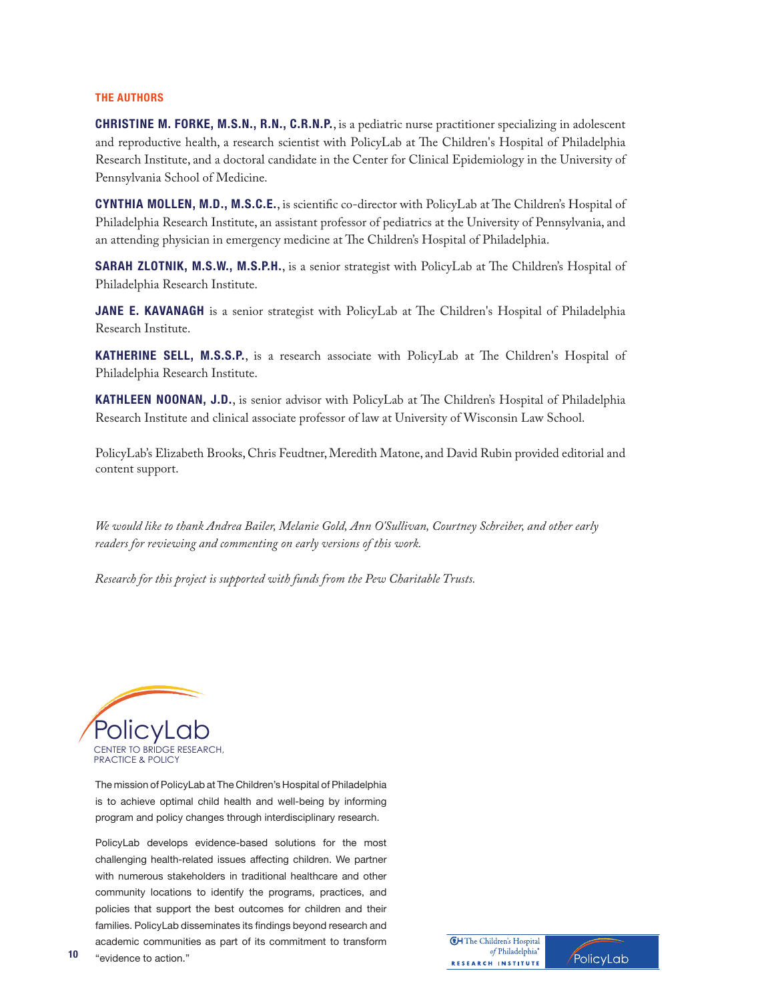#### **THE AUTHORS**

**CHRISTINE M. FORKE, M.S.N., R.N., C.R.N.P.**, is a pediatric nurse practitioner specializing in adolescent and reproductive health, a research scientist with PolicyLab at The Children's Hospital of Philadelphia Research Institute, and a doctoral candidate in the Center for Clinical Epidemiology in the University of Pennsylvania School of Medicine.

**CYNTHIA MOLLEN, M.D., M.S.C.E.**, is scientific co-director with PolicyLab at The Children's Hospital of Philadelphia Research Institute, an assistant professor of pediatrics at the University of Pennsylvania, and an attending physician in emergency medicine at The Children's Hospital of Philadelphia.

**SARAH ZLOTNIK, M.S.W., M.S.P.H.**, is a senior strategist with PolicyLab at The Children's Hospital of Philadelphia Research Institute.

JANE E. KAVANAGH is a senior strategist with PolicyLab at The Children's Hospital of Philadelphia Research Institute.

**KATHERINE SELL, M.S.S.P.**, is a research associate with PolicyLab at The Children's Hospital of Philadelphia Research Institute.

KATHLEEN NOONAN, J.D., is senior advisor with PolicyLab at The Children's Hospital of Philadelphia Research Institute and clinical associate professor of law at University of Wisconsin Law School.

PolicyLab's Elizabeth Brooks, Chris Feudtner, Meredith Matone, and David Rubin provided editorial and content support.

*We would like to thank Andrea Bailer, Melanie Gold, Ann O'Sullivan, Courtney Schreiber, and other early readers for reviewing and commenting on early versions of this work.* 

*Research for this project is supported with funds from the Pew Charitable Trusts.*



The mission of PolicyLab at The Children's Hospital of Philadelphia is to achieve optimal child health and well-being by informing program and policy changes through interdisciplinary research.

PolicyLab develops evidence-based solutions for the most challenging health-related issues affecting children. We partner with numerous stakeholders in traditional healthcare and other community locations to identify the programs, practices, and policies that support the best outcomes for children and their families. PolicyLab disseminates its findings beyond research and academic communities as part of its commitment to transform

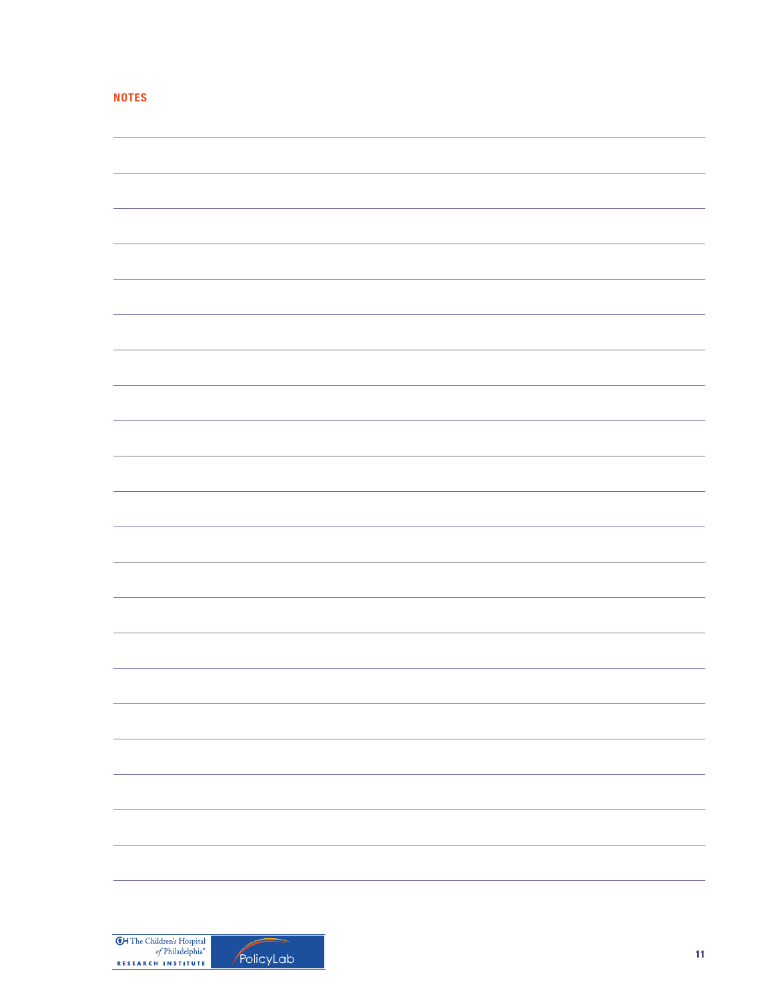|  | ______ | ., |
|--|--------|----|
|  |        |    |

| -                           |
|-----------------------------|
|                             |
|                             |
|                             |
|                             |
| $\overbrace{\hspace{25mm}}$ |
|                             |
|                             |
|                             |
|                             |
|                             |
|                             |
|                             |
|                             |
|                             |
|                             |
|                             |
|                             |
|                             |
|                             |
|                             |
|                             |